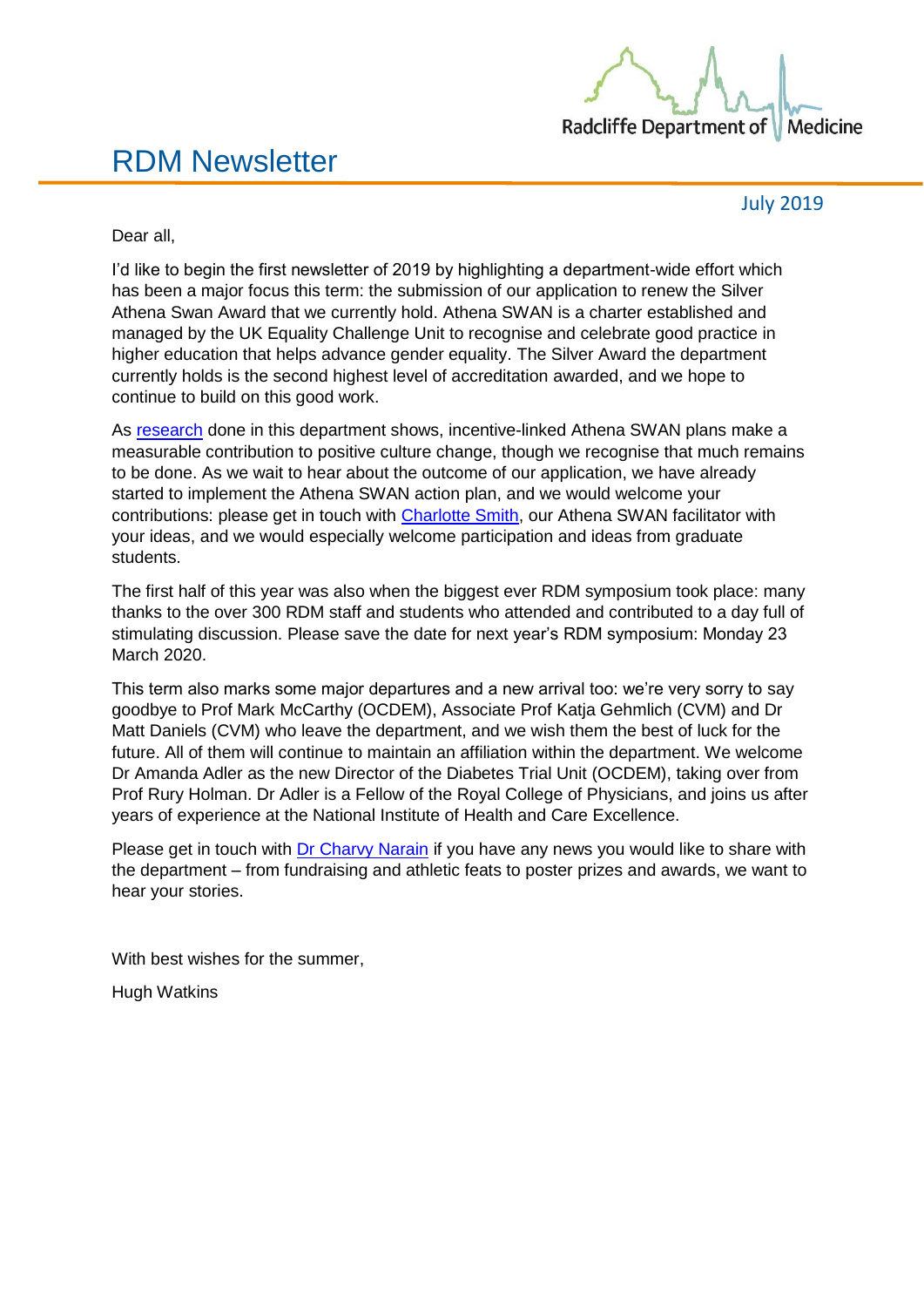

# RDM Newsletter

July 2019

Dear all,

I'd like to begin the first newsletter of 2019 by highlighting a department-wide effort which has been a major focus this term: the submission of our application to renew the Silver Athena Swan Award that we currently hold. Athena SWAN is a charter established and managed by the UK Equality Challenge Unit to recognise and celebrate good practice in higher education that helps advance gender equality. The Silver Award the department currently holds is the second highest level of accreditation awarded, and we hope to continue to build on this good work.

As [research](https://www.rdm.ox.ac.uk/news/new-study-finds-that-incentive-linked-athena-swan-action-plans-contributing-to-positive-culture-change) done in this department shows, incentive-linked Athena SWAN plans make a measurable contribution to positive culture change, though we recognise that much remains to be done. As we wait to hear about the outcome of our application, we have already started to implement the Athena SWAN action plan, and we would welcome your contributions: please get in touch with [Charlotte Smith,](mailto:charlotte.smith@rdm.ox.ac.uk.) our Athena SWAN facilitator with your ideas, and we would especially welcome participation and ideas from graduate students.

The first half of this year was also when the biggest ever RDM symposium took place: many thanks to the over 300 RDM staff and students who attended and contributed to a day full of stimulating discussion. Please save the date for next year's RDM symposium: Monday 23 March 2020.

This term also marks some major departures and a new arrival too: we're very sorry to say goodbye to Prof Mark McCarthy (OCDEM), Associate Prof Katja Gehmlich (CVM) and Dr Matt Daniels (CVM) who leave the department, and we wish them the best of luck for the future. All of them will continue to maintain an affiliation within the department. We welcome Dr Amanda Adler as the new Director of the Diabetes Trial Unit (OCDEM), taking over from Prof Rury Holman. Dr Adler is a Fellow of the Royal College of Physicians, and joins us after years of experience at the National Institute of Health and Care Excellence.

Please get in touch with [Dr Charvy Narain](mailto:charvy.narain@rdm.ox.ac.uk) if you have any news you would like to share with the department – from fundraising and athletic feats to poster prizes and awards, we want to hear your stories.

With best wishes for the summer,

Hugh Watkins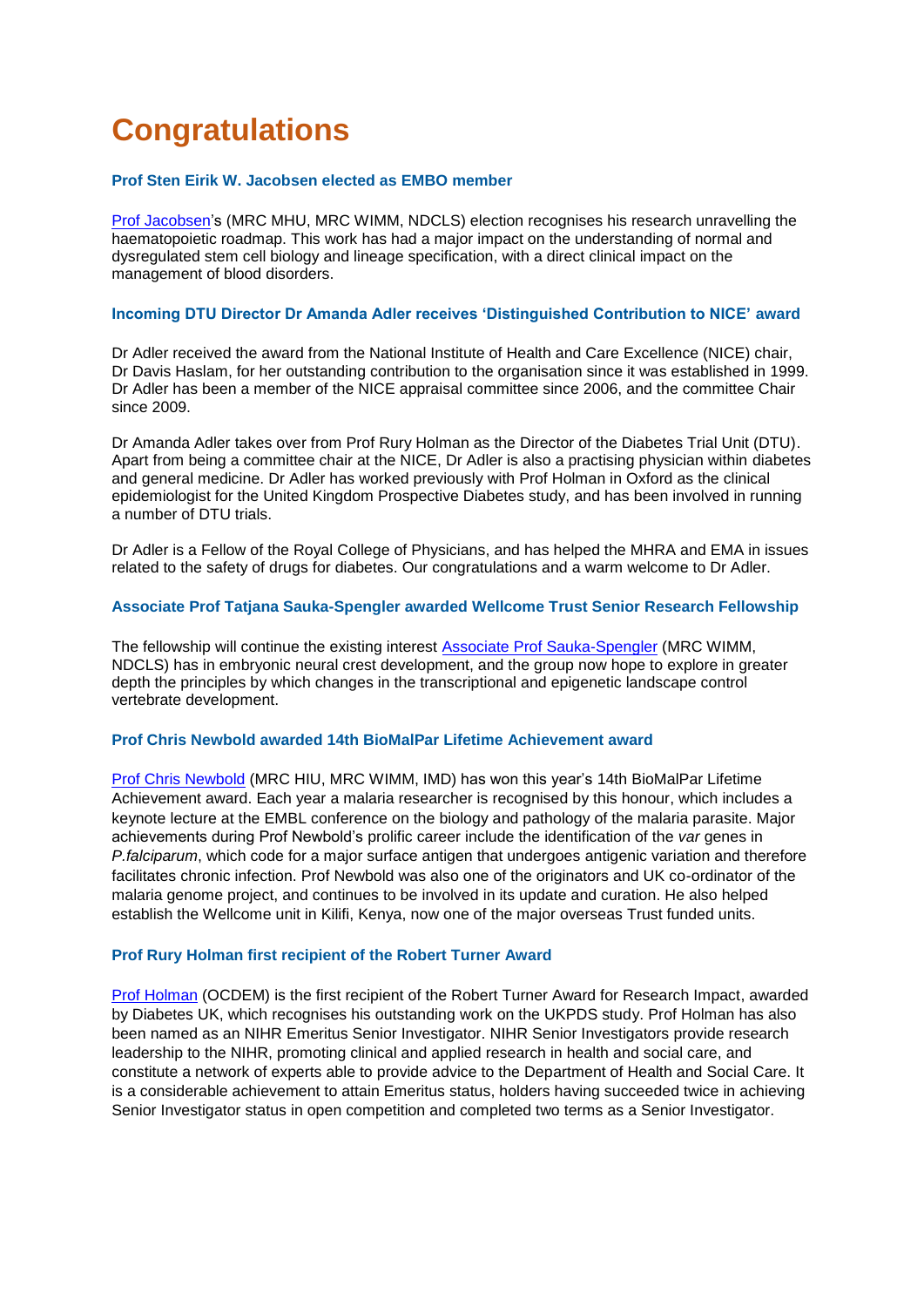# **Congratulations**

### **Prof Sten Eirik W. Jacobsen elected as EMBO member**

[Prof Jacobsen'](https://www.rdm.ox.ac.uk/people/sten-jacobsen)s (MRC MHU, MRC WIMM, NDCLS) election recognises his research unravelling the haematopoietic roadmap. This work has had a major impact on the understanding of normal and dysregulated stem cell biology and lineage specification, with a direct clinical impact on the management of blood disorders.

### **Incoming DTU Director Dr Amanda Adler receives 'Distinguished Contribution to NICE' award**

Dr Adler received the award from the National Institute of Health and Care Excellence (NICE) chair, Dr Davis Haslam, for her outstanding contribution to the organisation since it was established in 1999. Dr Adler has been a member of the NICE appraisal committee since 2006, and the committee Chair since 2009.

Dr Amanda Adler takes over from Prof Rury Holman as the Director of the Diabetes Trial Unit (DTU). Apart from being a committee chair at the NICE, Dr Adler is also a practising physician within diabetes and general medicine. Dr Adler has worked previously with Prof Holman in Oxford as the clinical epidemiologist for the United Kingdom Prospective Diabetes study, and has been involved in running a number of DTU trials.

Dr Adler is a Fellow of the Royal College of Physicians, and has helped the MHRA and EMA in issues related to the safety of drugs for diabetes. Our congratulations and a warm welcome to Dr Adler.

# **Associate Prof Tatjana Sauka-Spengler awarded Wellcome Trust Senior Research Fellowship**

The fellowship will continue the existing interest [Associate Prof Sauka-Spengler](https://www.rdm.ox.ac.uk/people/tatjan-sauka-spengler) (MRC WIMM, NDCLS) has in embryonic neural crest development, and the group now hope to explore in greater depth the principles by which changes in the transcriptional and epigenetic landscape control vertebrate development.

### **Prof Chris Newbold awarded 14th BioMalPar Lifetime Achievement award**

[Prof Chris Newbold](https://www.rdm.ox.ac.uk/people/christ-newbold) (MRC HIU, MRC WIMM, IMD) has won this year's 14th BioMalPar Lifetime Achievement award. Each year a malaria researcher is recognised by this honour, which includes a keynote lecture at the EMBL conference on the biology and pathology of the malaria parasite. Major achievements during Prof Newbold's prolific career include the identification of the *var* genes in *P.falciparum*, which code for a major surface antigen that undergoes antigenic variation and therefore facilitates chronic infection. Prof Newbold was also one of the originators and UK co-ordinator of the malaria genome project, and continues to be involved in its update and curation. He also helped establish the Wellcome unit in Kilifi, Kenya, now one of the major overseas Trust funded units.

### **Prof Rury Holman first recipient of the Robert Turner Award**

[Prof Holman](https://www.rdm.ox.ac.uk/people/rury-holman) (OCDEM) is the first recipient of the Robert Turner Award for Research Impact, awarded by Diabetes UK, which recognises his outstanding work on the UKPDS study. Prof Holman has also been named as an NIHR Emeritus Senior Investigator. NIHR Senior Investigators provide research leadership to the NIHR, promoting clinical and applied research in health and social care, and constitute a network of experts able to provide advice to the Department of Health and Social Care. It is a considerable achievement to attain Emeritus status, holders having succeeded twice in achieving Senior Investigator status in open competition and completed two terms as a Senior Investigator.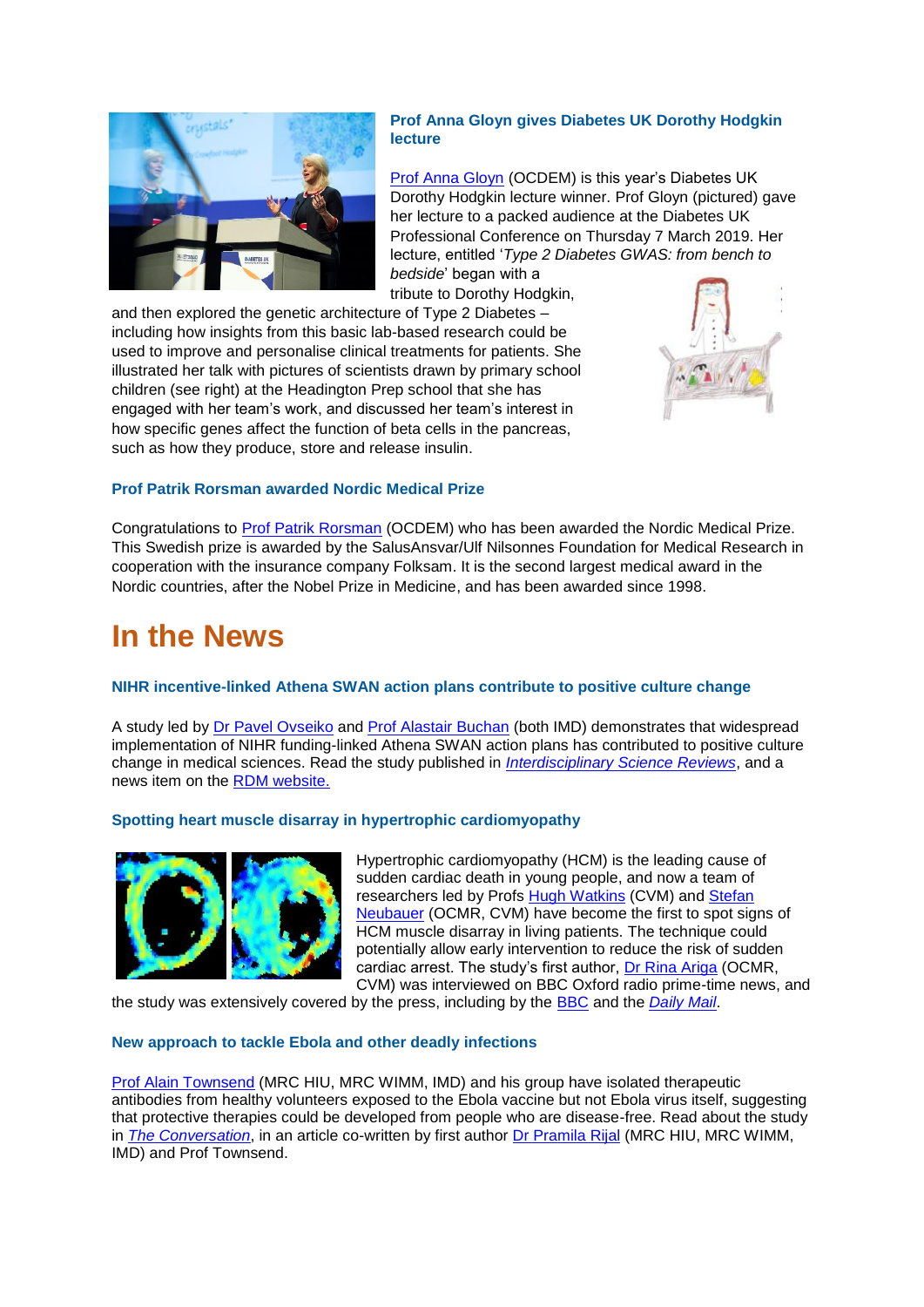

### **Prof Anna Gloyn gives Diabetes UK Dorothy Hodgkin lecture**

[Prof Anna Gloyn](https://www.rdm.ox.ac.uk/people/anna-gloyn) (OCDEM) is this year's Diabetes UK Dorothy Hodgkin lecture winner. Prof Gloyn (pictured) gave her lecture to a packed audience at the Diabetes UK Professional Conference on Thursday 7 March 2019. Her lecture, entitled '*Type 2 Diabetes GWAS: from bench to bedside*' began with a

tribute to Dorothy Hodgkin,



and then explored the genetic architecture of Type 2 Diabetes – including how insights from this basic lab-based research could be used to improve and personalise clinical treatments for patients. She illustrated her talk with pictures of scientists drawn by primary school children (see right) at the Headington Prep school that she has engaged with her team's work, and discussed her team's interest in how specific genes affect the function of beta cells in the pancreas, such as how they produce, store and release insulin.

# **Prof Patrik Rorsman awarded Nordic Medical Prize**

Congratulations to **Prof Patrik Rorsman** (OCDEM) who has been awarded the Nordic Medical Prize. This Swedish prize is awarded by the SalusAnsvar/Ulf Nilsonnes Foundation for Medical Research in cooperation with the insurance company Folksam. It is the second largest medical award in the Nordic countries, after the Nobel Prize in Medicine, and has been awarded since 1998.

# **In the News**

# **NIHR incentive-linked Athena SWAN action plans contribute to positive culture change**

A study led by [Dr Pavel Ovseiko](https://www.rdm.ox.ac.uk/people/pavel-ovseiko) and [Prof Alastair Buchan](https://www.rdm.ox.ac.uk/people/alastair-buchan-1) (both IMD) demonstrates that widespread implementation of NIHR funding-linked Athena SWAN action plans has contributed to positive culture change in medical sciences. Read the study published in *[Interdisciplinary Science Reviews](https://www.tandfonline.com/doi/full/10.1080/03080188.2019.1603880)*, and a news item on the [RDM website.](https://www.rdm.ox.ac.uk/news/new-study-finds-that-incentive-linked-athena-swan-action-plans-contributing-to-positive-culture-change)

# **Spotting heart muscle disarray in hypertrophic cardiomyopathy**



Hypertrophic cardiomyopathy (HCM) is the leading cause of sudden cardiac death in young people, and now a team of researchers led by Profs [Hugh Watkins](https://www.rdm.ox.ac.uk/people/hugh-watkins-1) (CVM) and Stefan [Neubauer](https://www.rdm.ox.ac.uk/people/stefan-neubauer) (OCMR, CVM) have become the first to spot signs of HCM muscle disarray in living patients. The technique could potentially allow early intervention to reduce the risk of sudden cardiac arrest. The study's first author, [Dr Rina Ariga](https://www.rdm.ox.ac.uk/people/rina-ariga) (OCMR, CVM) was interviewed on BBC Oxford radio prime-time news, and

the study was extensively covered by the press, including by the [BBC](https://www.bbc.co.uk/news/health-48338479) and the *[Daily Mail](https://www.dailymail.co.uk/health/article-7049309/Breakthrough-scientists-spot-leading-cause-cardiac-arrest-young-people.html)*.

# **New approach to tackle Ebola and other deadly infections**

[Prof Alain Townsend](https://www.rdm.ox.ac.uk/people/alain-townsend) (MRC HIU, MRC WIMM, IMD) and his group have isolated therapeutic antibodies from healthy volunteers exposed to the Ebola vaccine but not Ebola virus itself, suggesting that protective therapies could be developed from people who are disease-free. Read about the study in *[The Conversation](https://theconversation.com/guinea-pigs-cured-of-ebola-with-antibodies-raising-hopes-for-treatment-in-humans-113151)*, in an article co-written by first author [Dr Pramila Rijal](https://www.rdm.ox.ac.uk/people/pramila-rijal) (MRC HIU, MRC WIMM, IMD) and Prof Townsend.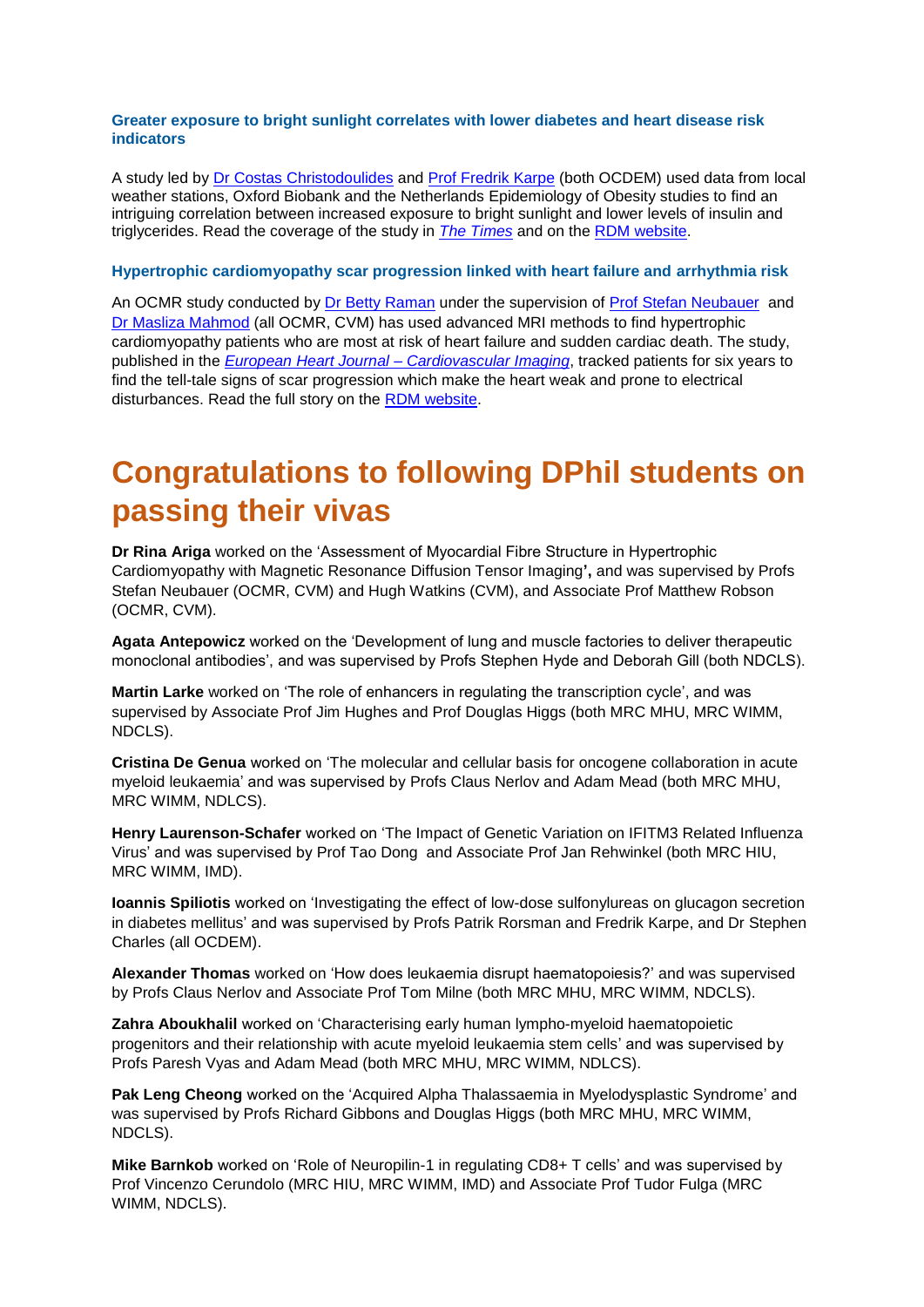### **Greater exposure to bright sunlight correlates with lower diabetes and heart disease risk indicators**

A study led by [Dr Costas Christodoulides](https://www.rdm.ox.ac.uk/people/constantinos-christodoulides) and [Prof Fredrik Karpe](https://www.rdm.ox.ac.uk/people/fredrik-karpe) (both OCDEM) used data from local weather stations, Oxford Biobank and the Netherlands Epidemiology of Obesity studies to find an intriguing correlation between increased exposure to bright sunlight and lower levels of insulin and triglycerides. Read the coverage of the study in *The [Times](https://www.thetimes.co.uk/article/sunlight-may-cut-risk-of-diabetes-8w7n02w25)* and on the [RDM website.](https://www.rdm.ox.ac.uk/news/greater-exposure-to-bright-sunlight-correlates-with-lower-diabetes-and-heart-disease-risk-indicators)

### **Hypertrophic cardiomyopathy scar progression linked with heart failure and arrhythmia risk**

An OCMR study conducted by [Dr Betty Raman](https://www.rdm.ox.ac.uk/people/betty-raman) under the supervision of Prof [Stefan Neubauer](https://www.rdm.ox.ac.uk/people/stefan-neubauer) and [Dr Masliza Mahmod](https://www.rdm.ox.ac.uk/people/masliza-mahmod) (all OCMR, CVM) has used advanced MRI methods to find hypertrophic cardiomyopathy patients who are most at risk of heart failure and sudden cardiac death. The study, published in the *[European Heart Journal –](https://academic.oup.com/ehjcimaging/advance-article/doi/10.1093/ehjci/jey135/5144422) Cardiovascular Imaging*, tracked patients for six years to find the tell-tale signs of scar progression which make the heart weak and prone to electrical disturbances. Read the full story on the [RDM website.](http://bit.ly/neubauer_mahmod)

# **Congratulations to following DPhil students on passing their vivas**

**Dr Rina Ariga** worked on the 'Assessment of Myocardial Fibre Structure in Hypertrophic Cardiomyopathy with Magnetic Resonance Diffusion Tensor Imaging**',** and was supervised by Profs Stefan Neubauer (OCMR, CVM) and Hugh Watkins (CVM), and Associate Prof Matthew Robson (OCMR, CVM).

**Agata Antepowicz** worked on the 'Development of lung and muscle factories to deliver therapeutic monoclonal antibodies', and was supervised by Profs Stephen Hyde and Deborah Gill (both NDCLS).

**Martin Larke** worked on 'The role of enhancers in regulating the transcription cycle', and was supervised by Associate Prof Jim Hughes and Prof Douglas Higgs (both MRC MHU, MRC WIMM, NDCLS).

**Cristina De Genua** worked on 'The molecular and cellular basis for oncogene collaboration in acute myeloid leukaemia' and was supervised by Profs Claus Nerlov and Adam Mead (both MRC MHU, MRC WIMM, NDLCS).

**Henry Laurenson-Schafer** worked on 'The Impact of Genetic Variation on IFITM3 Related Influenza Virus' and was supervised by Prof Tao Dong and Associate Prof Jan Rehwinkel (both MRC HIU, MRC WIMM, IMD).

**Ioannis Spiliotis** worked on 'Investigating the effect of low-dose sulfonylureas on glucagon secretion in diabetes mellitus' and was supervised by Profs Patrik Rorsman and Fredrik Karpe, and Dr Stephen Charles (all OCDEM).

**Alexander Thomas** worked on 'How does leukaemia disrupt haematopoiesis?' and was supervised by Profs Claus Nerlov and Associate Prof Tom Milne (both MRC MHU, MRC WIMM, NDCLS).

**Zahra Aboukhalil** worked on 'Characterising early human lympho-myeloid haematopoietic progenitors and their relationship with acute myeloid leukaemia stem cells' and was supervised by Profs Paresh Vyas and Adam Mead (both MRC MHU, MRC WIMM, NDLCS).

**Pak Leng Cheong** worked on the 'Acquired Alpha Thalassaemia in Myelodysplastic Syndrome' and was supervised by Profs Richard Gibbons and Douglas Higgs (both MRC MHU, MRC WIMM, NDCLS).

**Mike Barnkob** worked on 'Role of Neuropilin-1 in regulating CD8+ T cells' and was supervised by Prof Vincenzo Cerundolo (MRC HIU, MRC WIMM, IMD) and Associate Prof Tudor Fulga (MRC WIMM, NDCLS).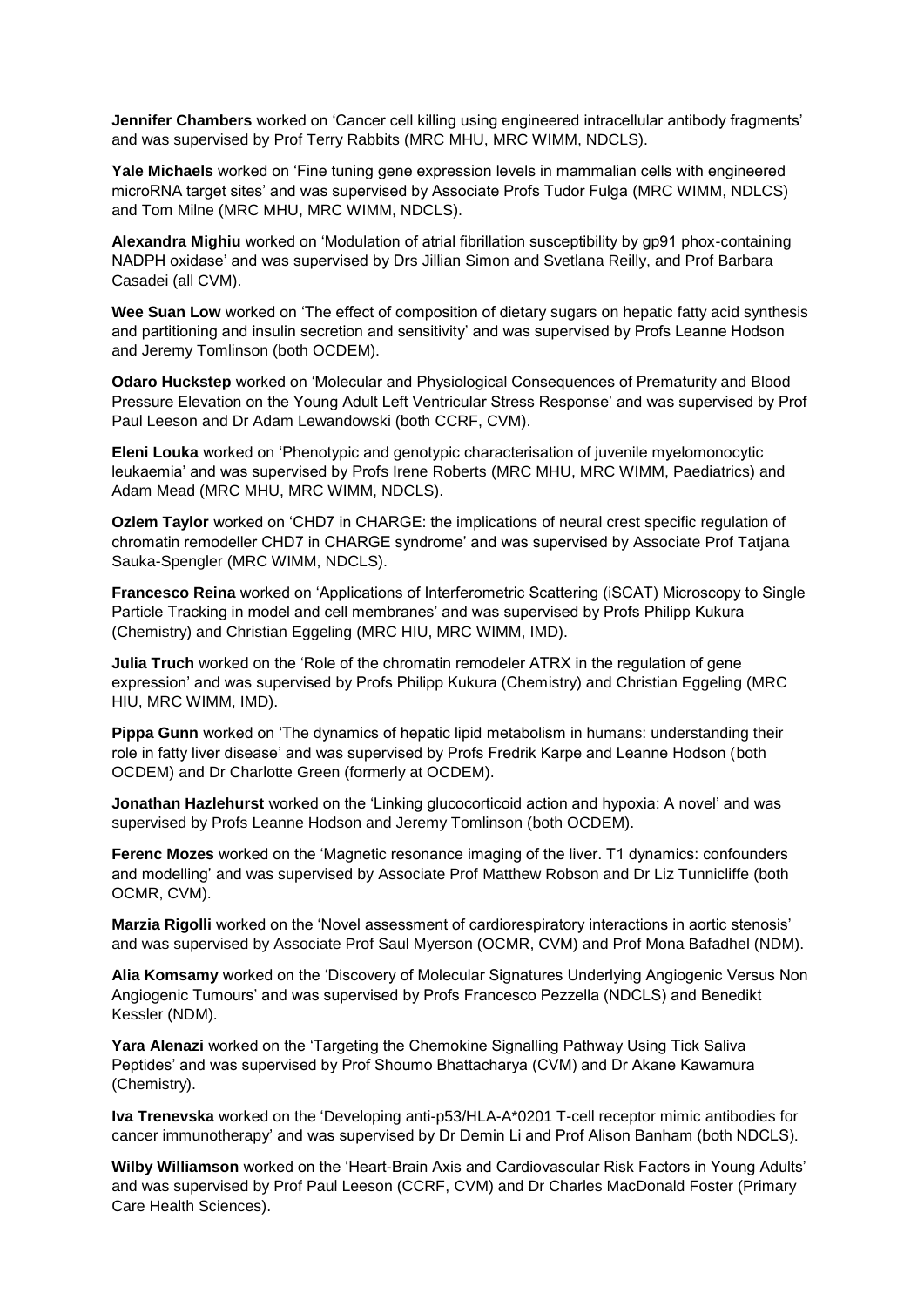**Jennifer Chambers** worked on 'Cancer cell killing using engineered intracellular antibody fragments' and was supervised by Prof Terry Rabbits (MRC MHU, MRC WIMM, NDCLS).

**Yale Michaels** worked on 'Fine tuning gene expression levels in mammalian cells with engineered microRNA target sites' and was supervised by Associate Profs Tudor Fulga (MRC WIMM, NDLCS) and Tom Milne (MRC MHU, MRC WIMM, NDCLS).

**Alexandra Mighiu** worked on 'Modulation of atrial fibrillation susceptibility by gp91 phox-containing NADPH oxidase' and was supervised by Drs Jillian Simon and Svetlana Reilly, and Prof Barbara Casadei (all CVM).

**Wee Suan Low** worked on 'The effect of composition of dietary sugars on hepatic fatty acid synthesis and partitioning and insulin secretion and sensitivity' and was supervised by Profs Leanne Hodson and Jeremy Tomlinson (both OCDEM).

**Odaro Huckstep** worked on 'Molecular and Physiological Consequences of Prematurity and Blood Pressure Elevation on the Young Adult Left Ventricular Stress Response' and was supervised by Prof Paul Leeson and Dr Adam Lewandowski (both CCRF, CVM).

**Eleni Louka** worked on 'Phenotypic and genotypic characterisation of juvenile myelomonocytic leukaemia' and was supervised by Profs Irene Roberts (MRC MHU, MRC WIMM, Paediatrics) and Adam Mead (MRC MHU, MRC WIMM, NDCLS).

**Ozlem Taylor** worked on 'CHD7 in CHARGE: the implications of neural crest specific regulation of chromatin remodeller CHD7 in CHARGE syndrome' and was supervised by Associate Prof Tatjana Sauka-Spengler (MRC WIMM, NDCLS).

**Francesco Reina** worked on 'Applications of Interferometric Scattering (iSCAT) Microscopy to Single Particle Tracking in model and cell membranes' and was supervised by Profs Philipp Kukura (Chemistry) and Christian Eggeling (MRC HIU, MRC WIMM, IMD).

**Julia Truch** worked on the 'Role of the chromatin remodeler ATRX in the regulation of gene expression' and was supervised by Profs Philipp Kukura (Chemistry) and Christian Eggeling (MRC HIU, MRC WIMM, IMD).

**Pippa Gunn** worked on 'The dynamics of hepatic lipid metabolism in humans: understanding their role in fatty liver disease' and was supervised by Profs Fredrik Karpe and Leanne Hodson (both OCDEM) and Dr Charlotte Green (formerly at OCDEM).

**Jonathan Hazlehurst** worked on the 'Linking glucocorticoid action and hypoxia: A novel' and was supervised by Profs Leanne Hodson and Jeremy Tomlinson (both OCDEM).

**Ferenc Mozes** worked on the 'Magnetic resonance imaging of the liver. T1 dynamics: confounders and modelling' and was supervised by Associate Prof Matthew Robson and Dr Liz Tunnicliffe (both OCMR, CVM).

**Marzia Rigolli** worked on the 'Novel assessment of cardiorespiratory interactions in aortic stenosis' and was supervised by Associate Prof Saul Myerson (OCMR, CVM) and Prof Mona Bafadhel (NDM).

**Alia Komsamy** worked on the 'Discovery of Molecular Signatures Underlying Angiogenic Versus Non Angiogenic Tumours' and was supervised by Profs Francesco Pezzella (NDCLS) and Benedikt Kessler (NDM).

**Yara Alenazi** worked on the 'Targeting the Chemokine Signalling Pathway Using Tick Saliva Peptides' and was supervised by Prof Shoumo Bhattacharya (CVM) and Dr Akane Kawamura (Chemistry).

**Iva Trenevska** worked on the 'Developing anti-p53/HLA-A\*0201 T-cell receptor mimic antibodies for cancer immunotherapy' and was supervised by Dr Demin Li and Prof Alison Banham (both NDCLS).

**Wilby Williamson** worked on the 'Heart-Brain Axis and Cardiovascular Risk Factors in Young Adults' and was supervised by Prof Paul Leeson (CCRF, CVM) and Dr Charles MacDonald Foster (Primary Care Health Sciences).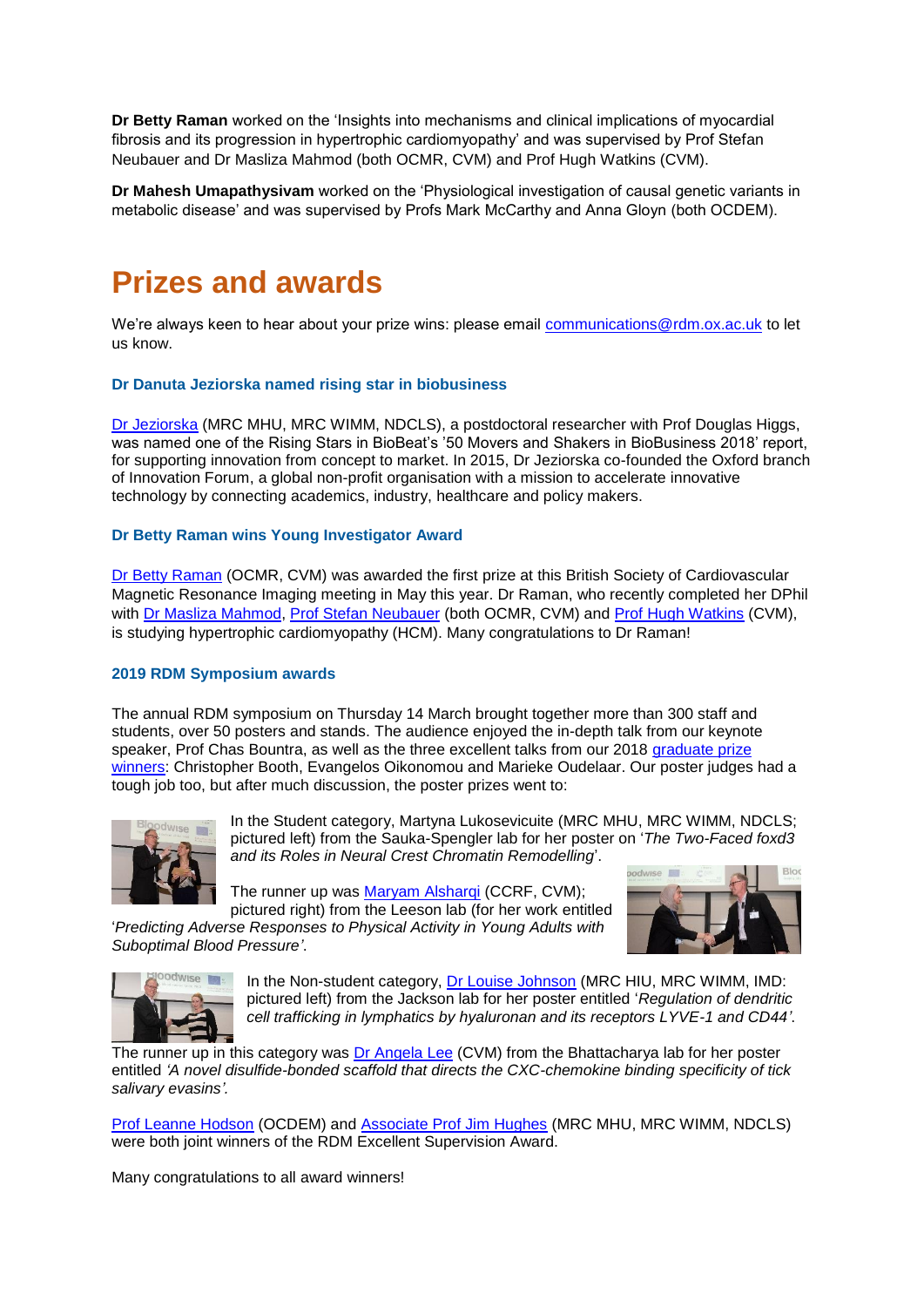**Dr Betty Raman** worked on the 'Insights into mechanisms and clinical implications of myocardial fibrosis and its progression in hypertrophic cardiomyopathy' and was supervised by Prof Stefan Neubauer and Dr Masliza Mahmod (both OCMR, CVM) and Prof Hugh Watkins (CVM).

**Dr Mahesh Umapathysivam** worked on the 'Physiological investigation of causal genetic variants in metabolic disease' and was supervised by Profs Mark McCarthy and Anna Gloyn (both OCDEM).

# **Prizes and awards**

We're always keen to hear about your prize wins: please email [communications@rdm.ox.ac.uk](mailto:communications@rdm.ox.ac.uk) to let us know.

# **Dr Danuta Jeziorska named rising star in biobusiness**

[Dr Jeziorska](https://www.rdm.ox.ac.uk/people/danuta-jeziorska) (MRC MHU, MRC WIMM, NDCLS), a postdoctoral researcher with Prof Douglas Higgs, was named one of the Rising Stars in BioBeat's '50 Movers and Shakers in BioBusiness 2018' report, for supporting innovation from concept to market. In 2015, Dr Jeziorska co-founded the Oxford branch of Innovation Forum, a global non-profit organisation with a mission to accelerate innovative technology by connecting academics, industry, healthcare and policy makers.

### **Dr Betty Raman wins Young Investigator Award**

[Dr Betty Raman](https://www.rdm.ox.ac.uk/people/betty-raman) (OCMR, CVM) was awarded the first prize at this British Society of Cardiovascular Magnetic Resonance Imaging meeting in May this year. Dr Raman, who recently completed her DPhil with [Dr Masliza Mahmod,](https://www.rdm.ox.ac.uk/people/masliza-mahmod) [Prof Stefan Neubauer](https://www.rdm.ox.ac.uk/people/stefan-neubauer) (both OCMR, CVM) and [Prof Hugh Watkins](https://www.rdm.ox.ac.uk/people/hugh-watkins-1) (CVM), is studying hypertrophic cardiomyopathy (HCM). Many congratulations to Dr Raman!

### **2019 RDM Symposium awards**

The annual RDM symposium on Thursday 14 March brought together more than 300 staff and students, over 50 posters and stands. The audience enjoyed the in-depth talk from our keynote speaker, Prof Chas Bountra, as well as the three excellent talks from our 2018 graduate prize [winners:](https://www.rdm.ox.ac.uk/news/2018-rdm-graduate-prize-winners) Christopher Booth, Evangelos Oikonomou and Marieke Oudelaar. Our poster judges had a tough job too, but after much discussion, the poster prizes went to:



In the Student category, Martyna Lukosevicuite (MRC MHU, MRC WIMM, NDCLS; pictured left) from the Sauka-Spengler lab for her poster on '*The Two-Faced foxd3 and its Roles in Neural Crest Chromatin Remodelling*'.

The runner up was [Maryam Alsharqi](https://www.rdm.ox.ac.uk/people/maryam-alsharqi) (CCRF, CVM);

pictured right) from the Leeson lab (for her work entitled '*Predicting Adverse Responses to Physical Activity in Young Adults with Suboptimal Blood Pressure'*.





In the Non-student category, [Dr Louise](https://www.rdm.ox.ac.uk/people/louise-johnson) Johnson (MRC HIU, MRC WIMM, IMD: pictured left) from the Jackson lab for her poster entitled '*Regulation of dendritic cell trafficking in lymphatics by hyaluronan and its receptors LYVE-1 and CD44'*.

The runner up in this category was Dr [Angela Lee](https://www.rdm.ox.ac.uk/people/angela-lee) (CVM) from the Bhattacharya lab for her poster entitled *'A novel disulfide-bonded scaffold that directs the CXC-chemokine binding specificity of tick salivary evasins'.*

[Prof Leanne Hodson](https://www.rdm.ox.ac.uk/people/leanne-hodson) (OCDEM) and [Associate Prof Jim Hughes](https://www.rdm.ox.ac.uk/people/jim-hughes) (MRC MHU, MRC WIMM, NDCLS) were both joint winners of the RDM Excellent Supervision Award.

Many congratulations to all award winners!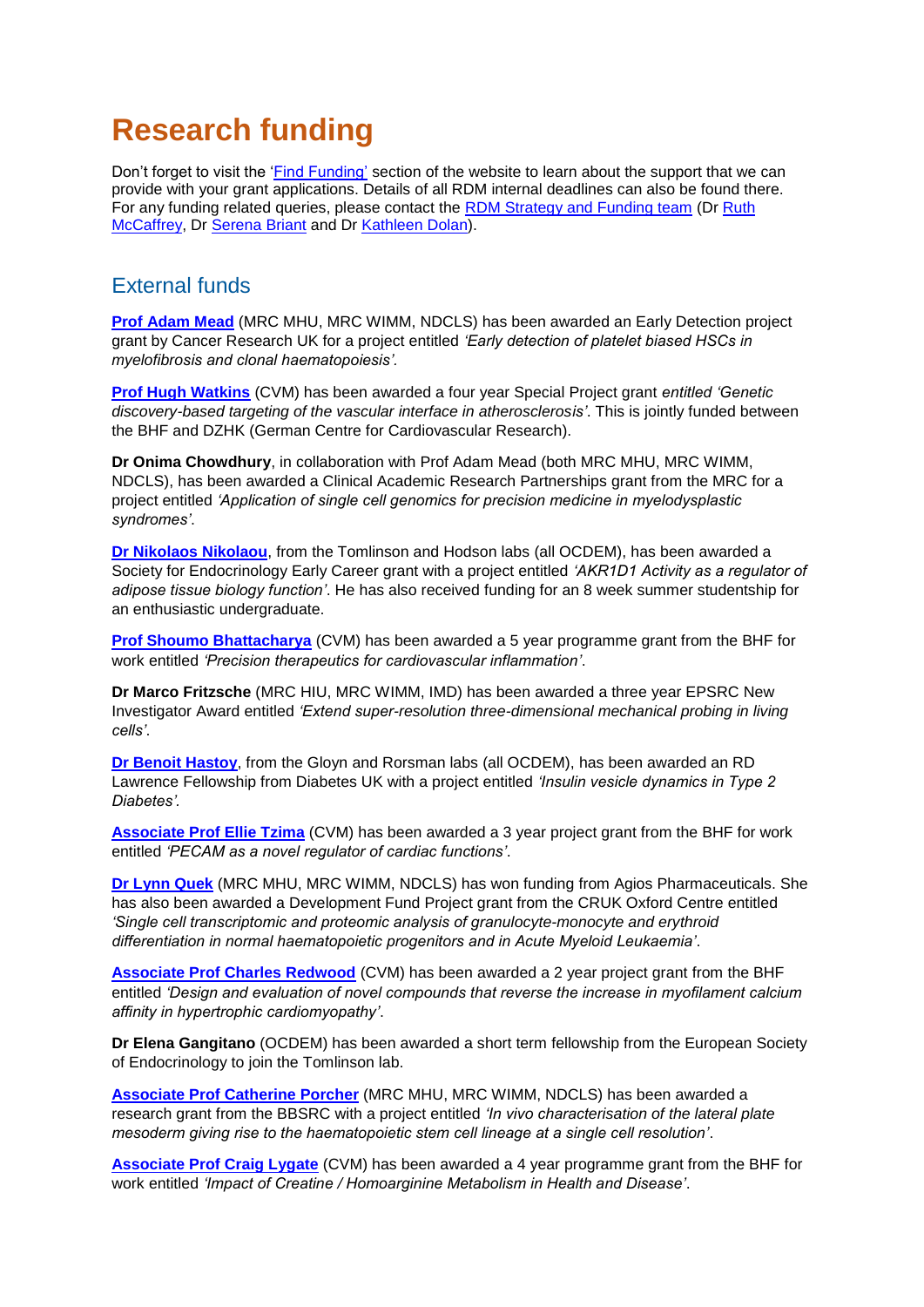# **Research funding**

Don't forget to visit the ['Find Funding'](https://www.rdm.ox.ac.uk/intranet/finance-grants-and-funding/find-funding) section of the website to learn about the support that we can provide with your grant applications. Details of all RDM internal deadlines can also be found there. For any funding related queries, please contact the [RDM Strategy and Funding team](mailto:funding@rdm.ox.ac.uk) (D[r Ruth](mailto:ruth.mccaffrey@rdm.ox.ac.uk)  [McCaffrey,](mailto:ruth.mccaffrey@rdm.ox.ac.uk) Dr [Serena Briant](mailto:serena.briant@rdm.ox.ac.uk) and Dr [Kathleen Dolan\)](mailto:kathleen.dolan@rdm.ox.ac.uk).

# External funds

**Prof [Adam Mead](https://www.rdm.ox.ac.uk/people/adam-mead)** (MRC MHU, MRC WIMM, NDCLS) has been awarded an Early Detection project grant by Cancer Research UK for a project entitled *'Early detection of platelet biased HSCs in myelofibrosis and clonal haematopoiesis'.*

**Prof [Hugh Watkins](https://www.rdm.ox.ac.uk/people/hugh-watkins-1)** (CVM) has been awarded a four year Special Project grant *entitled 'Genetic discovery-based targeting of the vascular interface in atherosclerosis'*. This is jointly funded between the BHF and DZHK (German Centre for Cardiovascular Research).

**Dr Onima Chowdhury**, in collaboration with Prof Adam Mead (both MRC MHU, MRC WIMM, NDCLS), has been awarded a Clinical Academic Research Partnerships grant from the MRC for a project entitled *'Application of single cell genomics for precision medicine in myelodysplastic syndromes'*.

**[Dr Nikolaos Nikolaou](https://www.rdm.ox.ac.uk/people/nikolaos-nikolaou)**, from the Tomlinson and Hodson labs (all OCDEM), has been awarded a Society for Endocrinology Early Career grant with a project entitled *'AKR1D1 Activity as a regulator of adipose tissue biology function'*. He has also received funding for an 8 week summer studentship for an enthusiastic undergraduate.

**[Prof Shoumo Bhattacharya](https://www.rdm.ox.ac.uk/people/shoumo-bhattacharya)** (CVM) has been awarded a 5 year programme grant from the BHF for work entitled *'Precision therapeutics for cardiovascular inflammation'*.

**Dr Marco Fritzsche** (MRC HIU, MRC WIMM, IMD) has been awarded a three year EPSRC New Investigator Award entitled *'Extend super-resolution three-dimensional mechanical probing in living cells'*.

**[Dr Benoit Hastoy](https://www.rdm.ox.ac.uk/people/benoit-hastoy)**, from the Gloyn and Rorsman labs (all OCDEM), has been awarded an RD Lawrence Fellowship from Diabetes UK with a project entitled *'Insulin vesicle dynamics in Type 2 Diabetes'.*

**[Associate Prof Ellie Tzima](https://www.rdm.ox.ac.uk/people/ellie-tzima)** (CVM) has been awarded a 3 year project grant from the BHF for work entitled *'PECAM as a novel regulator of cardiac functions'*.

**[Dr Lynn Quek](https://www.rdm.ox.ac.uk/people/lynn-quek)** (MRC MHU, MRC WIMM, NDCLS) has won funding from Agios Pharmaceuticals. She has also been awarded a Development Fund Project grant from the CRUK Oxford Centre entitled *'Single cell transcriptomic and proteomic analysis of granulocyte-monocyte and erythroid differentiation in normal haematopoietic progenitors and in Acute Myeloid Leukaemia'*.

**[Associate Prof Charles Redwood](https://www.rdm.ox.ac.uk/people/charles-redwood)** (CVM) has been awarded a 2 year project grant from the BHF entitled *'Design and evaluation of novel compounds that reverse the increase in myofilament calcium affinity in hypertrophic cardiomyopathy'*.

**Dr Elena Gangitano** (OCDEM) has been awarded a short term fellowship from the European Society of Endocrinology to join the Tomlinson lab.

**[Associate Prof Catherine Porcher](https://www.rdm.ox.ac.uk/people/catherine-porcher)** (MRC MHU, MRC WIMM, NDCLS) has been awarded a research grant from the BBSRC with a project entitled *'In vivo characterisation of the lateral plate mesoderm giving rise to the haematopoietic stem cell lineage at a single cell resolution'*.

**[Associate Prof Craig Lygate](https://www.rdm.ox.ac.uk/people/craig-lygate)** (CVM) has been awarded a 4 year programme grant from the BHF for work entitled *'Impact of Creatine / Homoarginine Metabolism in Health and Disease'*.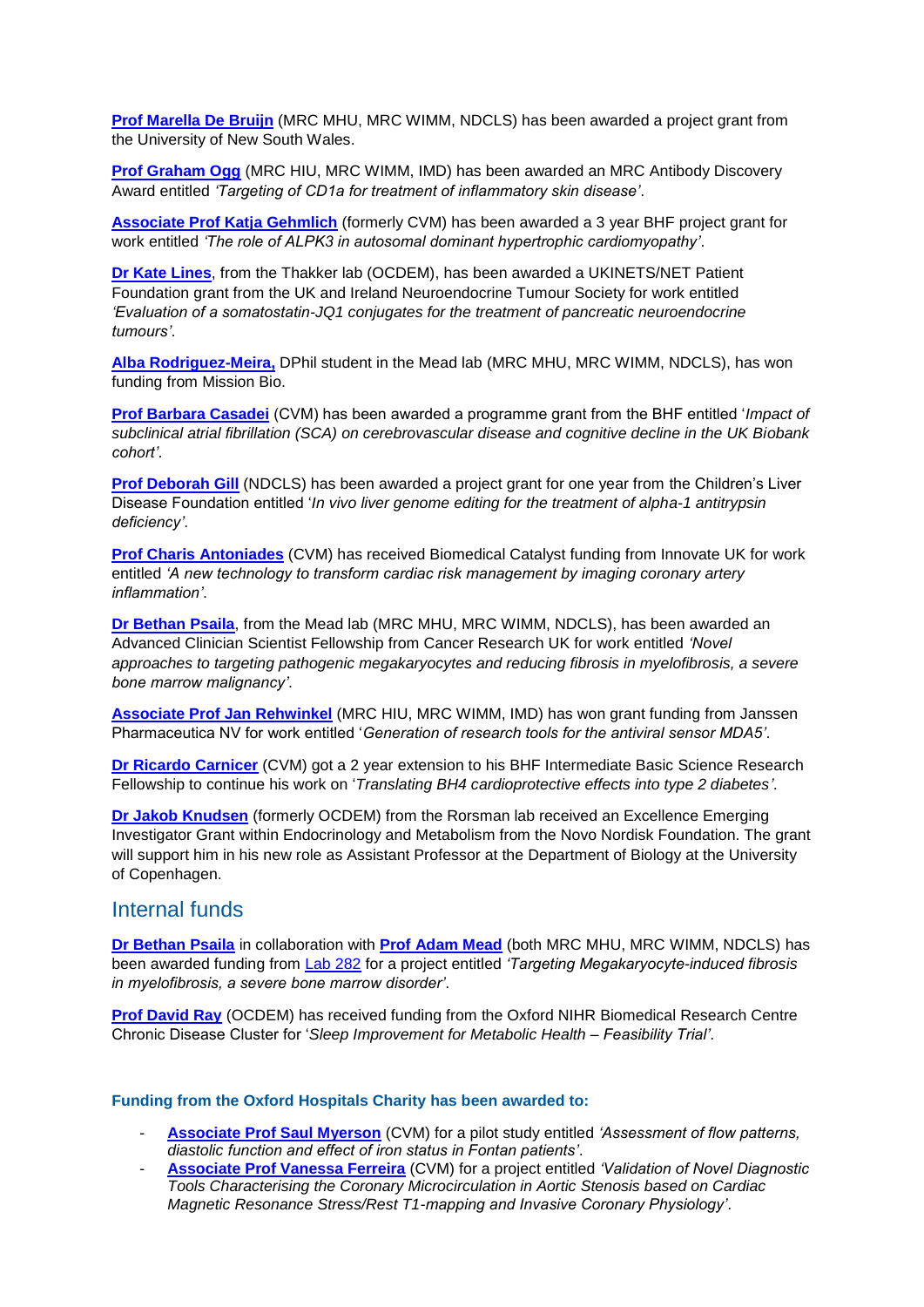**[Prof Marella De Bruijn](https://www.rdm.ox.ac.uk/people/marella-debruijn)** (MRC MHU, MRC WIMM, NDCLS) has been awarded a project grant from the University of New South Wales.

**[Prof Graham Ogg](https://www.rdm.ox.ac.uk/people/graham-ogg)** (MRC HIU, MRC WIMM, IMD) has been awarded an MRC Antibody Discovery Award entitled *'Targeting of CD1a for treatment of inflammatory skin disease'*.

**[Associate Prof Katja Gehmlich](https://www.rdm.ox.ac.uk/people/katja-gehmlich)** (formerly CVM) has been awarded a 3 year BHF project grant for work entitled *'The role of ALPK3 in autosomal dominant hypertrophic cardiomyopathy'*.

**[Dr Kate Lines](https://www.rdm.ox.ac.uk/people/kate-lines)**, from the Thakker lab (OCDEM), has been awarded a UKINETS/NET Patient Foundation grant from the UK and Ireland Neuroendocrine Tumour Society for work entitled *'Evaluation of a somatostatin-JQ1 conjugates for the treatment of pancreatic neuroendocrine tumours'*.

**[Alba Rodriguez-Meira,](https://www.rdm.ox.ac.uk/people/alba-rodriguezmeira)** DPhil student in the Mead lab (MRC MHU, MRC WIMM, NDCLS), has won funding from Mission Bio.

**[Prof Barbara Casadei](https://www.rdm.ox.ac.uk/people/barbara-casadei)** (CVM) has been awarded a programme grant from the BHF entitled '*Impact of subclinical atrial fibrillation (SCA) on cerebrovascular disease and cognitive decline in the UK Biobank cohort'*.

**[Prof Deborah Gill](https://www.rdm.ox.ac.uk/people/deborah-gil)** (NDCLS) has been awarded a project grant for one year from the Children's Liver Disease Foundation entitled '*In vivo liver genome editing for the treatment of alpha-1 antitrypsin deficiency'*.

**[Prof Charis Antoniades](https://www.rdm.ox.ac.uk/people/charalambos-antoniades)** (CVM) has received Biomedical Catalyst funding from Innovate UK for work entitled *'A new technology to transform cardiac risk management by imaging coronary artery inflammation'*.

**[Dr Bethan Psaila](https://www.rdm.ox.ac.uk/people/bethan-psaila)**, from the Mead lab (MRC MHU, MRC WIMM, NDCLS), has been awarded an Advanced Clinician Scientist Fellowship from Cancer Research UK for work entitled *'Novel approaches to targeting pathogenic megakaryocytes and reducing fibrosis in myelofibrosis, a severe bone marrow malignancy'*.

**[Associate Prof Jan Rehwinkel](https://www.rdm.ox.ac.uk/people/jan-rehwinkel)** (MRC HIU, MRC WIMM, IMD) has won grant funding from Janssen Pharmaceutica NV for work entitled '*Generation of research tools for the antiviral sensor MDA5'*.

**[Dr Ricardo Carnicer](https://www.rdm.ox.ac.uk/people/rcardo-carnicer)** (CVM) got a 2 year extension to his BHF Intermediate Basic Science Research Fellowship to continue his work on '*Translating BH4 cardioprotective effects into type 2 diabetes'*.

**[Dr Jakob Knudsen](https://www.rdm.ox.ac.uk/people/jakob-knudsen)** (formerly OCDEM) from the Rorsman lab received an Excellence Emerging Investigator Grant within Endocrinology and Metabolism from the Novo Nordisk Foundation. The grant will support him in his new role as Assistant Professor at the Department of Biology at the University of Copenhagen.

# Internal funds

**[Dr Bethan Psaila](https://www.rdm.ox.ac.uk/people/bethan-psaila)** in collaboration with **[Prof Adam Mead](https://www.rdm.ox.ac.uk/people/adam-mead)** (both MRC MHU, MRC WIMM, NDCLS) has been awarded funding from [Lab 282](https://www.lab282.org/applications/applying-to-lab282/) for a project entitled *'Targeting Megakaryocyte-induced fibrosis in myelofibrosis, a severe bone marrow disorder'*.

**[Prof David Ray](https://www.rdm.ox.ac.uk/people/david-ray)** (OCDEM) has received funding from the Oxford NIHR Biomedical Research Centre Chronic Disease Cluster for '*Sleep Improvement for Metabolic Health – Feasibility Trial'*.

### **Funding from the Oxford Hospitals Charity has been awarded to:**

- **[Associate Prof Saul Myerson](https://www.rdm.ox.ac.uk/people/saul-myerson)** (CVM) for a pilot study entitled *'Assessment of flow patterns, diastolic function and effect of iron status in Fontan patients'*.
- **[Associate Prof Vanessa Ferreira](https://www.rdm.ox.ac.uk/people/vanessa-ferreira)** (CVM) for a project entitled *'Validation of Novel Diagnostic Tools Characterising the Coronary Microcirculation in Aortic Stenosis based on Cardiac Magnetic Resonance Stress/Rest T1-mapping and Invasive Coronary Physiology'*.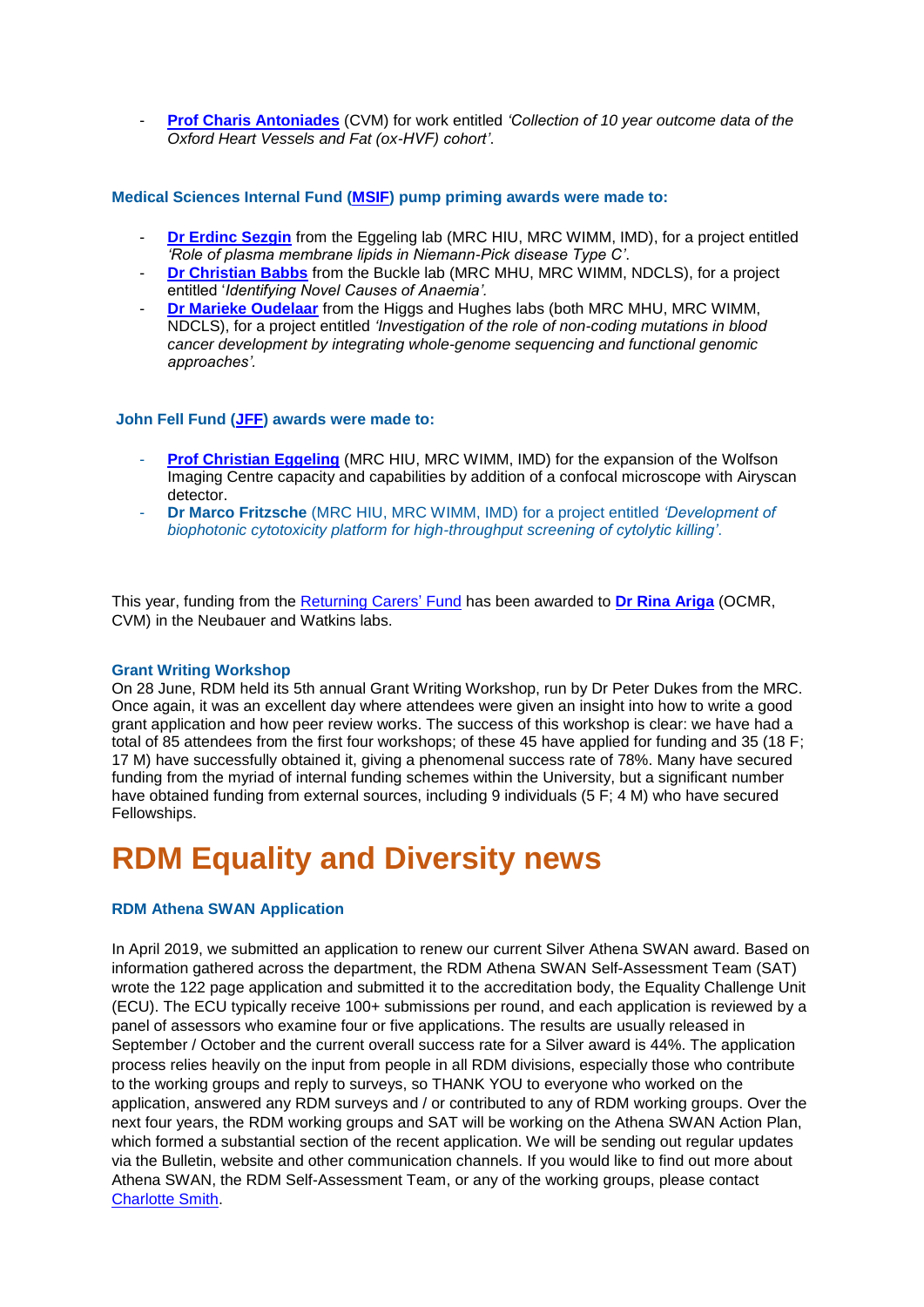- **[Prof Charis Antoniades](https://www.rdm.ox.ac.uk/people/charalambos-antoniades)** (CVM) for work entitled *'Collection of 10 year outcome data of the Oxford Heart Vessels and Fat (ox-HVF) cohort'*.

### **Medical Sciences Internal Fund [\(MSIF\)](https://www.medsci.ox.ac.uk/research/internal/funding-directory/medical-science-internal-fund/medical-science-internal-fund-pump-priming) pump priming awards were made to:**

- **[Dr Erdinc Sezgin](https://www.rdm.ox.ac.uk/people/erdinc-sezgin)** from the Eggeling lab (MRC HIU, MRC WIMM, IMD), for a project entitled *'Role of plasma membrane lipids in Niemann-Pick disease Type C'*.
- **[Dr Christian Babbs](https://www.rdm.ox.ac.uk/people/christian-babbs)** from the Buckle lab (MRC MHU, MRC WIMM, NDCLS), for a project entitled '*Identifying Novel Causes of Anaemia'.*
- **[Dr Marieke Oudelaar](https://www.rdm.ox.ac.uk/people/oudelaar)** from the Higgs and Hughes labs (both MRC MHU, MRC WIMM, NDCLS), for a project entitled *'Investigation of the role of non-coding mutations in blood cancer development by integrating whole-genome sequencing and functional genomic approaches'.*

# **John Fell Fund [\(JFF\)](https://www.medsci.ox.ac.uk/research/internal/funding-directory/john-fell-fund) awards were made to:**

- **[Prof Christian Eggeling](https://www.rdm.ox.ac.uk/people/christian-eggeling)** (MRC HIU, MRC WIMM, IMD) for the expansion of the Wolfson Imaging Centre capacity and capabilities by addition of a confocal microscope with Airyscan detector.
- **Dr Marco Fritzsche** (MRC HIU, MRC WIMM, IMD) for a project entitled *'Development of biophotonic cytotoxicity platform for high-throughput screening of cytolytic killing'*.

This year, funding from the [Returning Carers'](https://www.medsci.ox.ac.uk/research/internal/funding-directory/returning-carers-fund) Fund has been awarded to **[Dr Rina Ariga](https://www.rdm.ox.ac.uk/people/rina-ariga)** (OCMR, CVM) in the Neubauer and Watkins labs.

# **Grant Writing Workshop**

On 28 June, RDM held its 5th annual Grant Writing Workshop, run by Dr Peter Dukes from the MRC. Once again, it was an excellent day where attendees were given an insight into how to write a good grant application and how peer review works. The success of this workshop is clear: we have had a total of 85 attendees from the first four workshops; of these 45 have applied for funding and 35 (18 F; 17 M) have successfully obtained it, giving a phenomenal success rate of 78%. Many have secured funding from the myriad of internal funding schemes within the University, but a significant number have obtained funding from external sources, including 9 individuals (5 F; 4 M) who have secured Fellowships.

# **RDM Equality and Diversity news**

# **RDM Athena SWAN Application**

In April 2019, we submitted an application to renew our current Silver Athena SWAN award. Based on information gathered across the department, the RDM Athena SWAN Self-Assessment Team (SAT) wrote the 122 page application and submitted it to the accreditation body, the Equality Challenge Unit (ECU). The ECU typically receive 100+ submissions per round, and each application is reviewed by a panel of assessors who examine four or five applications. The results are usually released in September / October and the current overall success rate for a Silver award is 44%. The application process relies heavily on the input from people in all RDM divisions, especially those who contribute to the working groups and reply to surveys, so THANK YOU to everyone who worked on the application, answered any RDM surveys and / or contributed to any of RDM working groups. Over the next four years, the RDM working groups and SAT will be working on the Athena SWAN Action Plan, which formed a substantial section of the recent application. We will be sending out regular updates via the Bulletin, website and other communication channels. If you would like to find out more about Athena SWAN, the RDM Self-Assessment Team, or any of the working groups, please contact [Charlotte Smith.](mailto:charlotte.smith@rdm.ox.ac.uk.)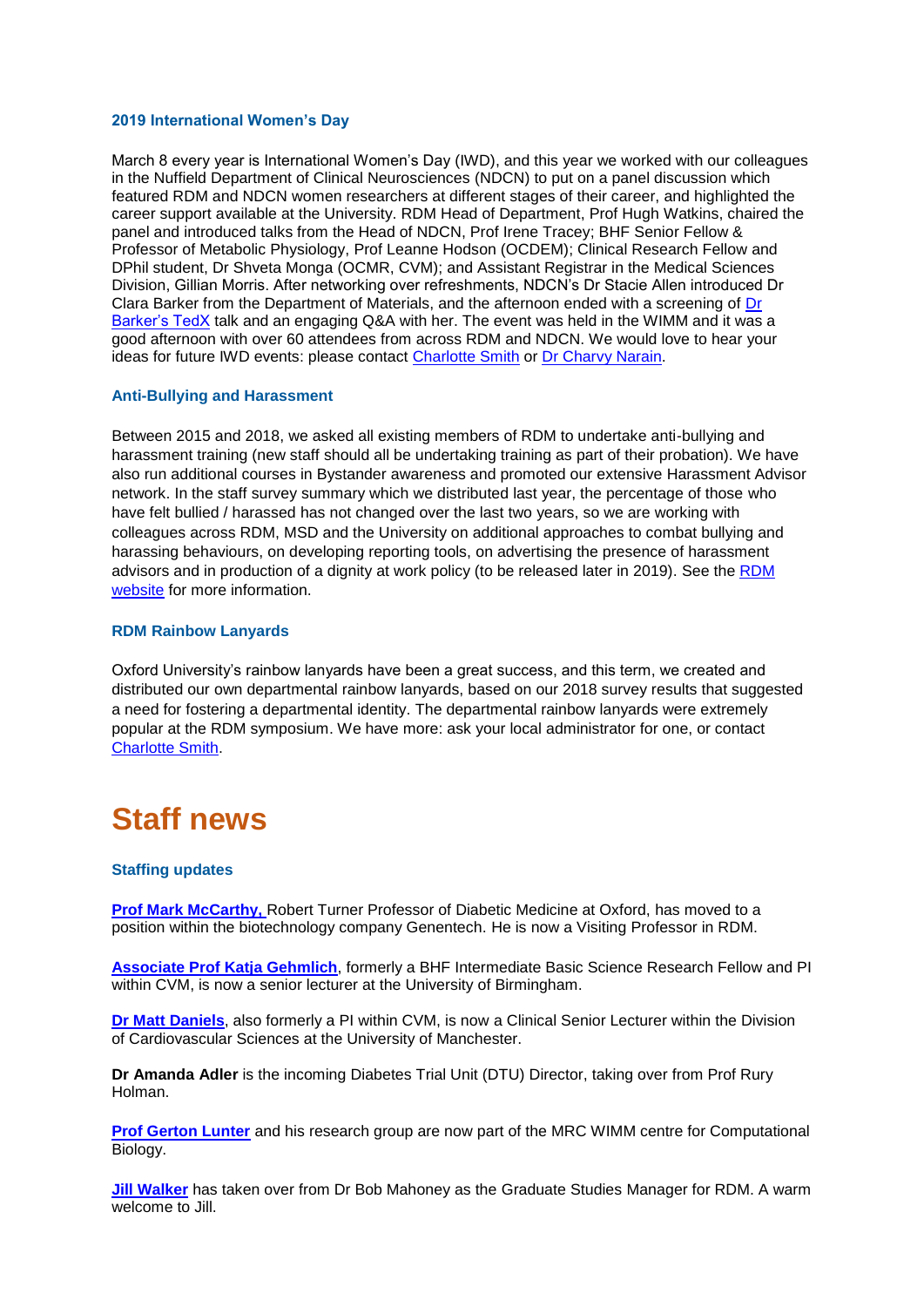#### **2019 International Women's Day**

March 8 every year is International Women's Day (IWD), and this year we worked with our colleagues in the Nuffield Department of Clinical Neurosciences (NDCN) to put on a panel discussion which featured RDM and NDCN women researchers at different stages of their career, and highlighted the career support available at the University. RDM Head of Department, Prof Hugh Watkins, chaired the panel and introduced talks from the Head of NDCN, Prof Irene Tracey; BHF Senior Fellow & Professor of Metabolic Physiology, Prof Leanne Hodson (OCDEM); Clinical Research Fellow and DPhil student, Dr Shveta Monga (OCMR, CVM); and Assistant Registrar in the Medical Sciences Division, Gillian Morris. After networking over refreshments, NDCN's Dr Stacie Allen introduced Dr Clara Barker from the Department of Materials, and the afternoon ended with a screening of [Dr](https://youtu.be/cReiIVsgNGs)  [Barker's TedX](https://youtu.be/cReiIVsgNGs) talk and an engaging Q&A with her. The event was held in the WIMM and it was a good afternoon with over 60 attendees from across RDM and NDCN. We would love to hear your ideas for future IWD events: please contact [Charlotte Smith](mailto:charlotte.smith@rdm.ox.ac.uk.) or [Dr Charvy Narain.](mailto:charvy.narain@rdm.ox.ac.uk)

### **Anti-Bullying and Harassment**

Between 2015 and 2018, we asked all existing members of RDM to undertake anti-bullying and harassment training (new staff should all be undertaking training as part of their probation). We have also run additional courses in Bystander awareness and promoted our extensive Harassment Advisor network. In the staff survey summary which we distributed last year, the percentage of those who have felt bullied / harassed has not changed over the last two years, so we are working with colleagues across RDM, MSD and the University on additional approaches to combat bullying and harassing behaviours, on developing reporting tools, on advertising the presence of harassment advisors and in production of a dignity at work policy (to be released later in 2019). See the RDM [website](https://www.rdm.ox.ac.uk/intranet/personnel/anti-harassment-and-bullying-web-page) for more information.

### **RDM Rainbow Lanyards**

Oxford University's rainbow lanyards have been a great success, and this term, we created and distributed our own departmental rainbow lanyards, based on our 2018 survey results that suggested a need for fostering a departmental identity. The departmental rainbow lanyards were extremely popular at the RDM symposium. We have more: ask your local administrator for one, or contact [Charlotte Smith.](mailto:charlotte.smith@rdm.ox.ac.uk.)

# **Staff news**

### **Staffing updates**

**[Prof Mark McCarthy,](https://www.rdm.ox.ac.uk/people/mark-mccarthy) Robert Turner Professor of Diabetic Medicine at Oxford, has moved to a** position within the biotechnology company Genentech. He is now a Visiting Professor in RDM.

**Associate Prof [Katja Gehmlich](https://www.rdm.ox.ac.uk/people/katja-gehmlich)**, formerly a BHF Intermediate Basic Science Research Fellow and PI within CVM, is now a senior lecturer at the University of Birmingham.

**[Dr Matt Daniels](https://www.rdm.ox.ac.uk/people/matthew-daniels)**, also formerly a PI within CVM, is now a Clinical Senior Lecturer within the Division of Cardiovascular Sciences at the University of Manchester.

**Dr Amanda Adler** is the incoming Diabetes Trial Unit (DTU) Director, taking over from Prof Rury Holman.

**[Prof Gerton Lunter](https://www.imm.ox.ac.uk/about/news/lunter-group-joins-the-mrc-wimm)** and his research group are now part of the MRC WIMM centre for Computational Biology.

**[Jill Walker](https://www.rdm.ox.ac.uk/people/jill-walker)** has taken over from Dr Bob Mahoney as the Graduate Studies Manager for RDM. A warm welcome to Jill.